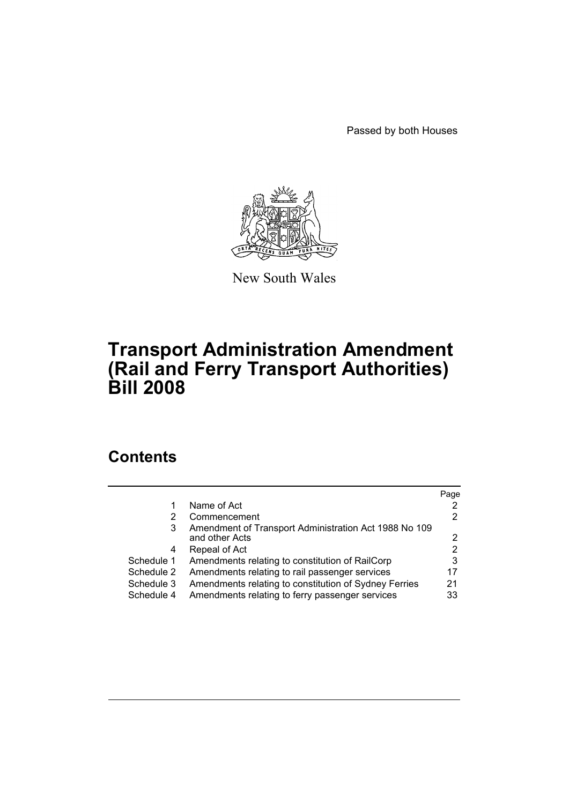Passed by both Houses



New South Wales

# **Transport Administration Amendment (Rail and Ferry Transport Authorities) Bill 2008**

# **Contents**

|            |                                                       | Page |
|------------|-------------------------------------------------------|------|
| 1          | Name of Act                                           |      |
| 2          | Commencement                                          | 2    |
| 3          | Amendment of Transport Administration Act 1988 No 109 |      |
|            | and other Acts                                        |      |
| 4          | Repeal of Act                                         | 2    |
| Schedule 1 | Amendments relating to constitution of RailCorp       | 3    |
| Schedule 2 | Amendments relating to rail passenger services        | 17   |
| Schedule 3 | Amendments relating to constitution of Sydney Ferries | 21   |
| Schedule 4 | Amendments relating to ferry passenger services       | 33   |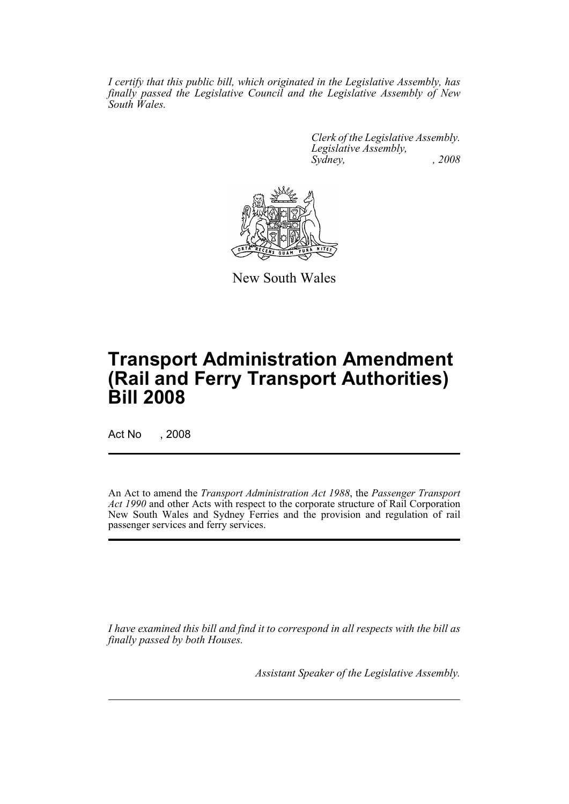*I certify that this public bill, which originated in the Legislative Assembly, has finally passed the Legislative Council and the Legislative Assembly of New South Wales.*

> *Clerk of the Legislative Assembly. Legislative Assembly, Sydney, , 2008*



New South Wales

# **Transport Administration Amendment (Rail and Ferry Transport Authorities) Bill 2008**

Act No , 2008

An Act to amend the *Transport Administration Act 1988*, the *Passenger Transport Act 1990* and other Acts with respect to the corporate structure of Rail Corporation New South Wales and Sydney Ferries and the provision and regulation of rail passenger services and ferry services.

*I have examined this bill and find it to correspond in all respects with the bill as finally passed by both Houses.*

*Assistant Speaker of the Legislative Assembly.*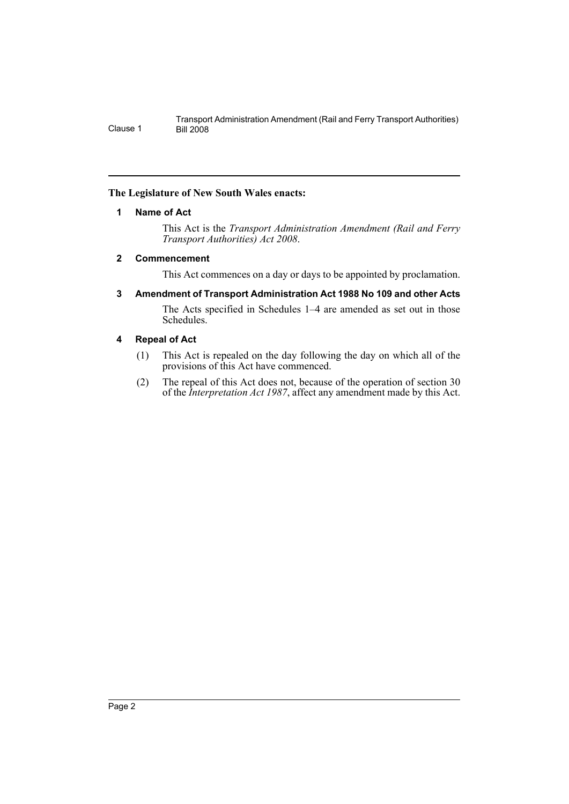### <span id="page-2-0"></span>**The Legislature of New South Wales enacts:**

### **1 Name of Act**

This Act is the *Transport Administration Amendment (Rail and Ferry Transport Authorities) Act 2008*.

### <span id="page-2-1"></span>**2 Commencement**

This Act commences on a day or days to be appointed by proclamation.

<span id="page-2-2"></span>**3 Amendment of Transport Administration Act 1988 No 109 and other Acts**

The Acts specified in Schedules 1–4 are amended as set out in those Schedules.

# <span id="page-2-3"></span>**4 Repeal of Act**

- (1) This Act is repealed on the day following the day on which all of the provisions of this Act have commenced.
- (2) The repeal of this Act does not, because of the operation of section 30 of the *Interpretation Act 1987*, affect any amendment made by this Act.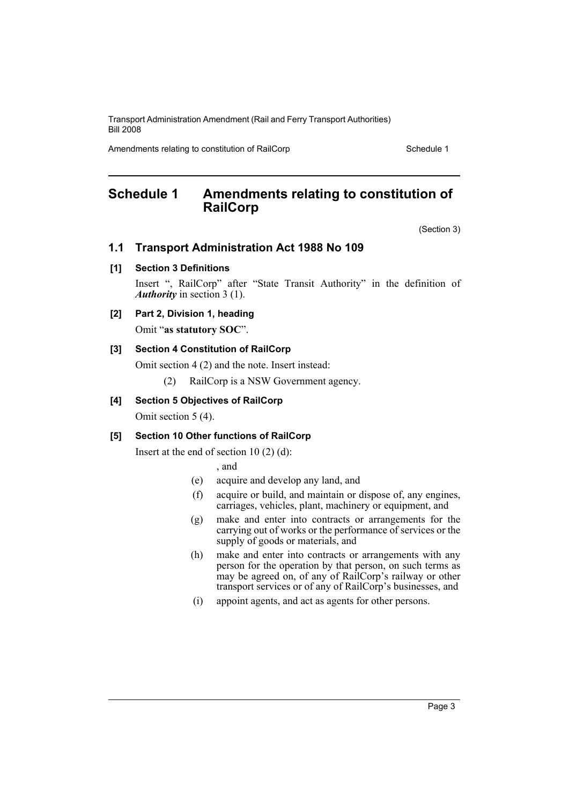Amendments relating to constitution of RailCorp Schedule 1

# <span id="page-3-0"></span>**Schedule 1 Amendments relating to constitution of RailCorp**

(Section 3)

# **1.1 Transport Administration Act 1988 No 109**

### **[1] Section 3 Definitions**

Insert ", RailCorp" after "State Transit Authority" in the definition of *Authority* in section 3 (1).

### **[2] Part 2, Division 1, heading**

Omit "**as statutory SOC**".

### **[3] Section 4 Constitution of RailCorp**

Omit section 4 (2) and the note. Insert instead:

(2) RailCorp is a NSW Government agency.

### **[4] Section 5 Objectives of RailCorp**

Omit section 5 (4).

### **[5] Section 10 Other functions of RailCorp**

Insert at the end of section  $10(2)(d)$ :

, and

- (e) acquire and develop any land, and
- (f) acquire or build, and maintain or dispose of, any engines, carriages, vehicles, plant, machinery or equipment, and
- (g) make and enter into contracts or arrangements for the carrying out of works or the performance of services or the supply of goods or materials, and
- (h) make and enter into contracts or arrangements with any person for the operation by that person, on such terms as may be agreed on, of any of RailCorp's railway or other transport services or of any of RailCorp's businesses, and
- (i) appoint agents, and act as agents for other persons.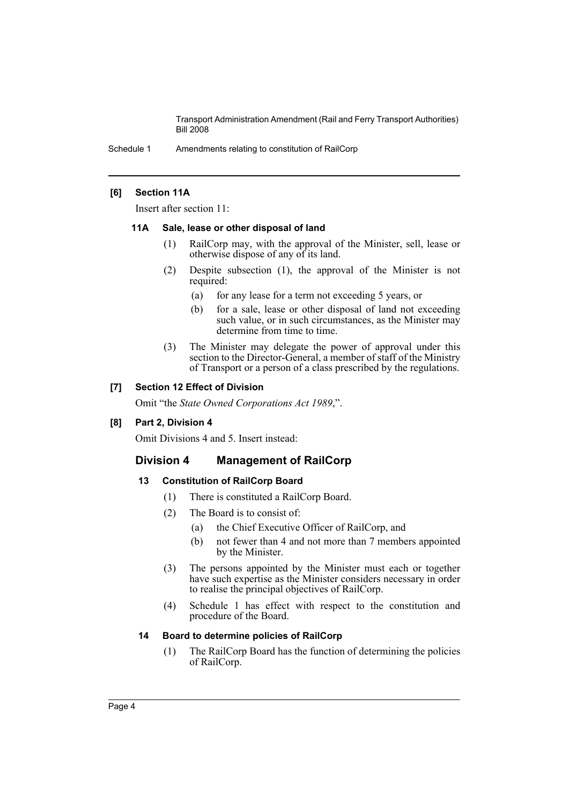Schedule 1 Amendments relating to constitution of RailCorp

### **[6] Section 11A**

Insert after section 11:

#### **11A Sale, lease or other disposal of land**

- (1) RailCorp may, with the approval of the Minister, sell, lease or otherwise dispose of any of its land.
- (2) Despite subsection (1), the approval of the Minister is not required:
	- (a) for any lease for a term not exceeding 5 years, or
	- (b) for a sale, lease or other disposal of land not exceeding such value, or in such circumstances, as the Minister may determine from time to time.
- (3) The Minister may delegate the power of approval under this section to the Director-General, a member of staff of the Ministry of Transport or a person of a class prescribed by the regulations.

### **[7] Section 12 Effect of Division**

Omit "the *State Owned Corporations Act 1989*,".

### **[8] Part 2, Division 4**

Omit Divisions 4 and 5. Insert instead:

### **Division 4 Management of RailCorp**

### **13 Constitution of RailCorp Board**

- (1) There is constituted a RailCorp Board.
- (2) The Board is to consist of:
	- (a) the Chief Executive Officer of RailCorp, and
	- (b) not fewer than 4 and not more than 7 members appointed by the Minister.
- (3) The persons appointed by the Minister must each or together have such expertise as the Minister considers necessary in order to realise the principal objectives of RailCorp.
- (4) Schedule 1 has effect with respect to the constitution and procedure of the Board.

### **14 Board to determine policies of RailCorp**

(1) The RailCorp Board has the function of determining the policies of RailCorp.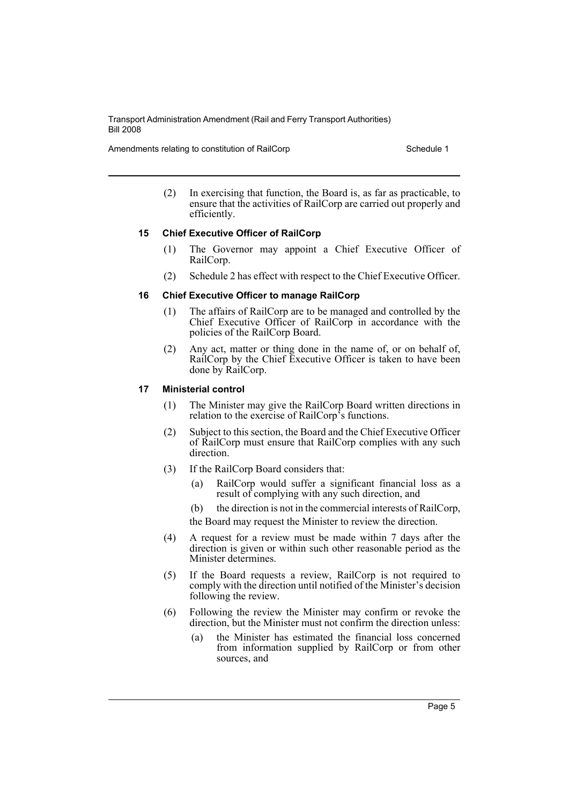Amendments relating to constitution of RailCorp **Schedule 1** Schedule 1

(2) In exercising that function, the Board is, as far as practicable, to ensure that the activities of RailCorp are carried out properly and efficiently.

# **15 Chief Executive Officer of RailCorp**

- (1) The Governor may appoint a Chief Executive Officer of RailCorp.
- (2) Schedule 2 has effect with respect to the Chief Executive Officer.

### **16 Chief Executive Officer to manage RailCorp**

- (1) The affairs of RailCorp are to be managed and controlled by the Chief Executive Officer of RailCorp in accordance with the policies of the RailCorp Board.
- (2) Any act, matter or thing done in the name of, or on behalf of, RailCorp by the Chief Executive Officer is taken to have been done by RailCorp.

### **17 Ministerial control**

- (1) The Minister may give the RailCorp Board written directions in relation to the exercise of RailCorp's functions.
- (2) Subject to this section, the Board and the Chief Executive Officer of RailCorp must ensure that RailCorp complies with any such direction.
- (3) If the RailCorp Board considers that:
	- (a) RailCorp would suffer a significant financial loss as a result of complying with any such direction, and
	- (b) the direction is not in the commercial interests of RailCorp, the Board may request the Minister to review the direction.
- (4) A request for a review must be made within 7 days after the direction is given or within such other reasonable period as the Minister determines.
- (5) If the Board requests a review, RailCorp is not required to comply with the direction until notified of the Minister's decision following the review.
- (6) Following the review the Minister may confirm or revoke the direction, but the Minister must not confirm the direction unless:
	- (a) the Minister has estimated the financial loss concerned from information supplied by RailCorp or from other sources, and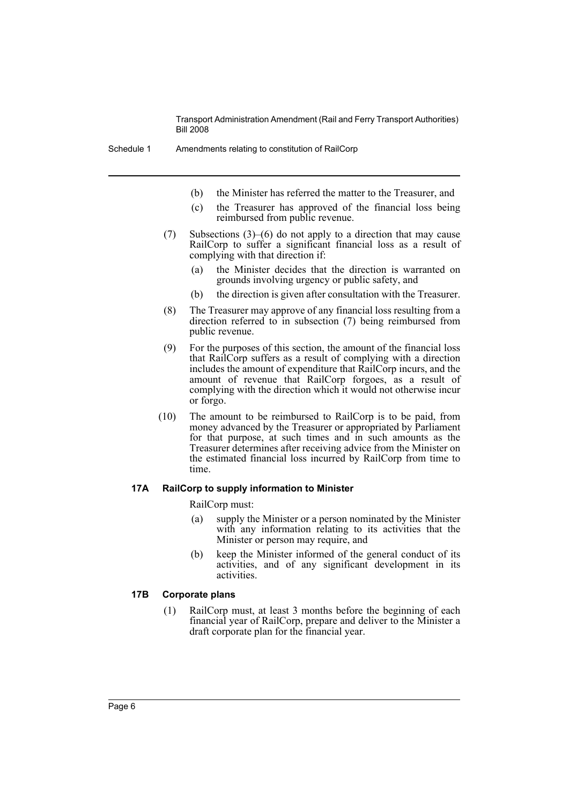- (b) the Minister has referred the matter to the Treasurer, and
- (c) the Treasurer has approved of the financial loss being reimbursed from public revenue.
- (7) Subsections (3)–(6) do not apply to a direction that may cause RailCorp to suffer a significant financial loss as a result of complying with that direction if:
	- (a) the Minister decides that the direction is warranted on grounds involving urgency or public safety, and
	- (b) the direction is given after consultation with the Treasurer.
- (8) The Treasurer may approve of any financial loss resulting from a direction referred to in subsection (7) being reimbursed from public revenue.
- (9) For the purposes of this section, the amount of the financial loss that RailCorp suffers as a result of complying with a direction includes the amount of expenditure that RailCorp incurs, and the amount of revenue that RailCorp forgoes, as a result of complying with the direction which it would not otherwise incur or forgo.
- (10) The amount to be reimbursed to RailCorp is to be paid, from money advanced by the Treasurer or appropriated by Parliament for that purpose, at such times and in such amounts as the Treasurer determines after receiving advice from the Minister on the estimated financial loss incurred by RailCorp from time to time.

### **17A RailCorp to supply information to Minister**

RailCorp must:

- (a) supply the Minister or a person nominated by the Minister with any information relating to its activities that the Minister or person may require, and
- (b) keep the Minister informed of the general conduct of its activities, and of any significant development in its activities.

### **17B Corporate plans**

(1) RailCorp must, at least 3 months before the beginning of each financial year of RailCorp, prepare and deliver to the Minister a draft corporate plan for the financial year.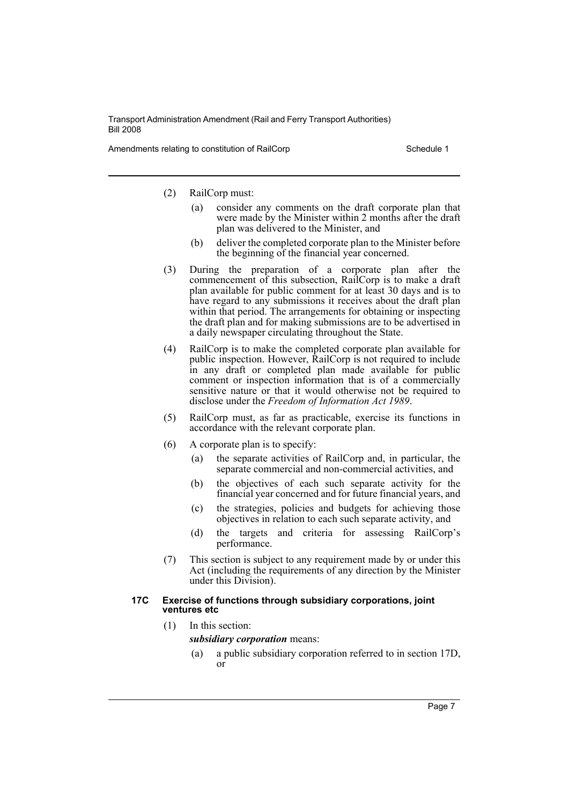Amendments relating to constitution of RailCorp **Schedule 1** Schedule 1

- (2) RailCorp must:
	- (a) consider any comments on the draft corporate plan that were made by the Minister within 2 months after the draft plan was delivered to the Minister, and
	- (b) deliver the completed corporate plan to the Minister before the beginning of the financial year concerned.
- (3) During the preparation of a corporate plan after the commencement of this subsection, RailCorp is to make a draft plan available for public comment for at least 30 days and is to have regard to any submissions it receives about the draft plan within that period. The arrangements for obtaining or inspecting the draft plan and for making submissions are to be advertised in a daily newspaper circulating throughout the State.
- (4) RailCorp is to make the completed corporate plan available for public inspection. However, RailCorp is not required to include in any draft or completed plan made available for public comment or inspection information that is of a commercially sensitive nature or that it would otherwise not be required to disclose under the *Freedom of Information Act 1989*.
- (5) RailCorp must, as far as practicable, exercise its functions in accordance with the relevant corporate plan.
- (6) A corporate plan is to specify:
	- (a) the separate activities of RailCorp and, in particular, the separate commercial and non-commercial activities, and
	- (b) the objectives of each such separate activity for the financial year concerned and for future financial years, and
	- (c) the strategies, policies and budgets for achieving those objectives in relation to each such separate activity, and
	- (d) the targets and criteria for assessing RailCorp's performance.
- (7) This section is subject to any requirement made by or under this Act (including the requirements of any direction by the Minister under this Division).

#### **17C Exercise of functions through subsidiary corporations, joint ventures etc**

(1) In this section:

*subsidiary corporation* means:

(a) a public subsidiary corporation referred to in section 17D, or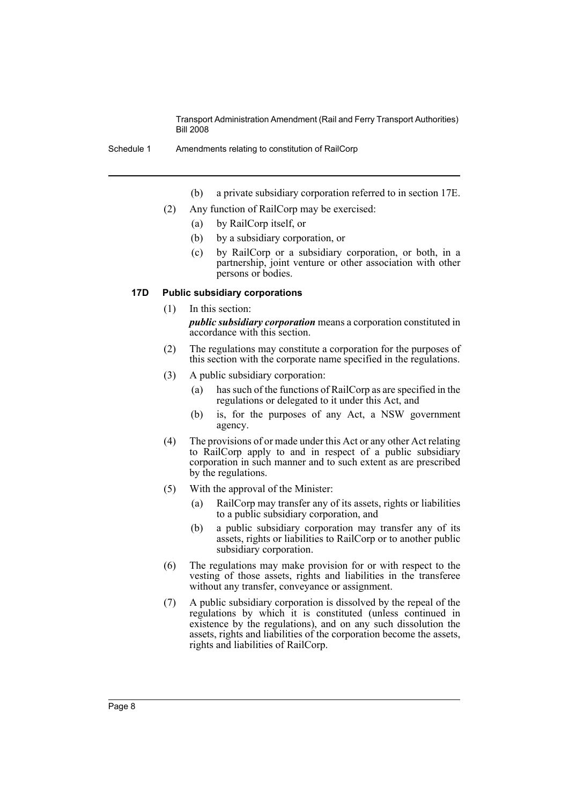- (b) a private subsidiary corporation referred to in section 17E.
- (2) Any function of RailCorp may be exercised:
	- (a) by RailCorp itself, or
	- (b) by a subsidiary corporation, or
	- (c) by RailCorp or a subsidiary corporation, or both, in a partnership, joint venture or other association with other persons or bodies.

#### **17D Public subsidiary corporations**

- (1) In this section: *public subsidiary corporation* means a corporation constituted in accordance with this section.
- (2) The regulations may constitute a corporation for the purposes of this section with the corporate name specified in the regulations.
- (3) A public subsidiary corporation:
	- (a) has such of the functions of RailCorp as are specified in the regulations or delegated to it under this Act, and
	- (b) is, for the purposes of any Act, a NSW government agency.
- (4) The provisions of or made under this Act or any other Act relating to RailCorp apply to and in respect of a public subsidiary corporation in such manner and to such extent as are prescribed by the regulations.
- (5) With the approval of the Minister:
	- (a) RailCorp may transfer any of its assets, rights or liabilities to a public subsidiary corporation, and
	- (b) a public subsidiary corporation may transfer any of its assets, rights or liabilities to RailCorp or to another public subsidiary corporation.
- (6) The regulations may make provision for or with respect to the vesting of those assets, rights and liabilities in the transferee without any transfer, conveyance or assignment.
- (7) A public subsidiary corporation is dissolved by the repeal of the regulations by which it is constituted (unless continued in existence by the regulations), and on any such dissolution the assets, rights and liabilities of the corporation become the assets, rights and liabilities of RailCorp.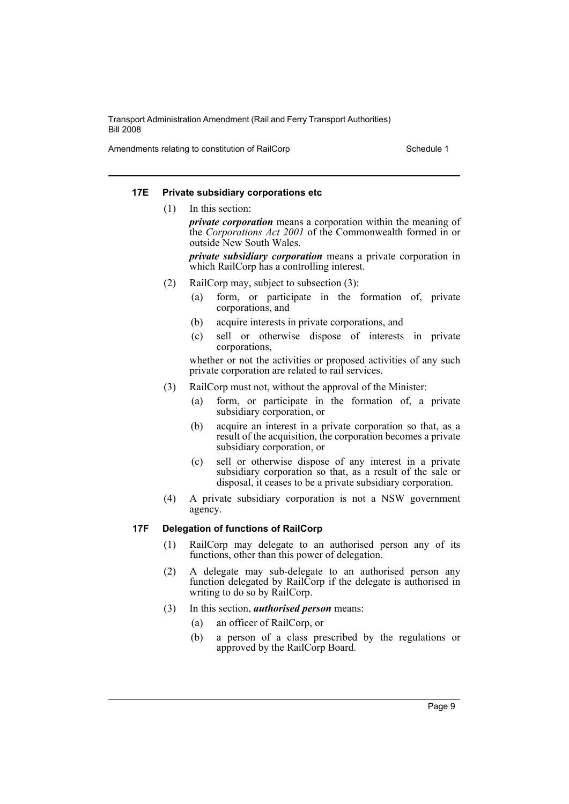Amendments relating to constitution of RailCorp **Schedule 1** Schedule 1

### **17E Private subsidiary corporations etc**

(1) In this section:

*private corporation* means a corporation within the meaning of the *Corporations Act 2001* of the Commonwealth formed in or outside New South Wales.

*private subsidiary corporation* means a private corporation in which RailCorp has a controlling interest.

- (2) RailCorp may, subject to subsection (3):
	- (a) form, or participate in the formation of, private corporations, and
	- (b) acquire interests in private corporations, and
	- (c) sell or otherwise dispose of interests in private corporations,

whether or not the activities or proposed activities of any such private corporation are related to rail services.

- (3) RailCorp must not, without the approval of the Minister:
	- (a) form, or participate in the formation of, a private subsidiary corporation, or
	- (b) acquire an interest in a private corporation so that, as a result of the acquisition, the corporation becomes a private subsidiary corporation, or
	- (c) sell or otherwise dispose of any interest in a private subsidiary corporation so that, as a result of the sale or disposal, it ceases to be a private subsidiary corporation.
- (4) A private subsidiary corporation is not a NSW government agency.

### **17F Delegation of functions of RailCorp**

- (1) RailCorp may delegate to an authorised person any of its functions, other than this power of delegation.
- (2) A delegate may sub-delegate to an authorised person any function delegated by RailCorp if the delegate is authorised in writing to do so by RailCorp.
- (3) In this section, *authorised person* means:
	- (a) an officer of RailCorp, or
	- (b) a person of a class prescribed by the regulations or approved by the RailCorp Board.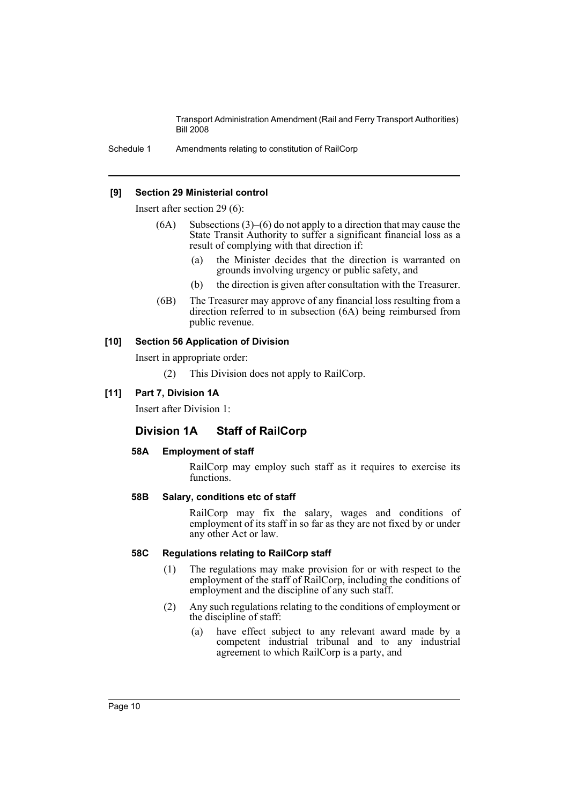Schedule 1 Amendments relating to constitution of RailCorp

### **[9] Section 29 Ministerial control**

Insert after section 29 (6):

- $(6A)$  Subsections  $(3)$ – $(6)$  do not apply to a direction that may cause the State Transit Authority to suffer a significant financial loss as a result of complying with that direction if:
	- (a) the Minister decides that the direction is warranted on grounds involving urgency or public safety, and
	- (b) the direction is given after consultation with the Treasurer.
- (6B) The Treasurer may approve of any financial loss resulting from a direction referred to in subsection (6A) being reimbursed from public revenue.

### **[10] Section 56 Application of Division**

Insert in appropriate order:

(2) This Division does not apply to RailCorp.

### **[11] Part 7, Division 1A**

Insert after Division 1:

# **Division 1A Staff of RailCorp**

### **58A Employment of staff**

RailCorp may employ such staff as it requires to exercise its functions.

### **58B Salary, conditions etc of staff**

RailCorp may fix the salary, wages and conditions of employment of its staff in so far as they are not fixed by or under any other Act or law.

# **58C Regulations relating to RailCorp staff**

- (1) The regulations may make provision for or with respect to the employment of the staff of RailCorp, including the conditions of employment and the discipline of any such staff.
- (2) Any such regulations relating to the conditions of employment or the discipline of staff:
	- (a) have effect subject to any relevant award made by a competent industrial tribunal and to any industrial agreement to which RailCorp is a party, and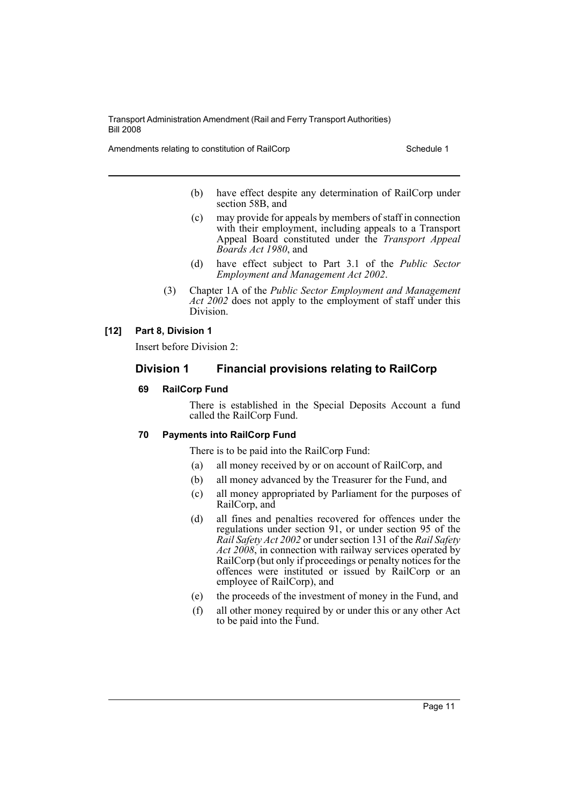Amendments relating to constitution of RailCorp Schedule 1

- (b) have effect despite any determination of RailCorp under section 58B, and
- (c) may provide for appeals by members of staff in connection with their employment, including appeals to a Transport Appeal Board constituted under the *Transport Appeal Boards Act 1980*, and
- (d) have effect subject to Part 3.1 of the *Public Sector Employment and Management Act 2002*.
- (3) Chapter 1A of the *Public Sector Employment and Management* Act 2002 does not apply to the employment of staff under this Division.

### **[12] Part 8, Division 1**

Insert before Division 2:

# **Division 1 Financial provisions relating to RailCorp**

### **69 RailCorp Fund**

There is established in the Special Deposits Account a fund called the RailCorp Fund.

# **70 Payments into RailCorp Fund**

There is to be paid into the RailCorp Fund:

- (a) all money received by or on account of RailCorp, and
- (b) all money advanced by the Treasurer for the Fund, and
- (c) all money appropriated by Parliament for the purposes of RailCorp, and
- (d) all fines and penalties recovered for offences under the regulations under section 91, or under section 95 of the *Rail Safety Act 2002* or under section 131 of the *Rail Safety* Act 2008, in connection with railway services operated by RailCorp (but only if proceedings or penalty notices for the offences were instituted or issued by RailCorp or an employee of RailCorp), and
- (e) the proceeds of the investment of money in the Fund, and
- (f) all other money required by or under this or any other Act to be paid into the Fund.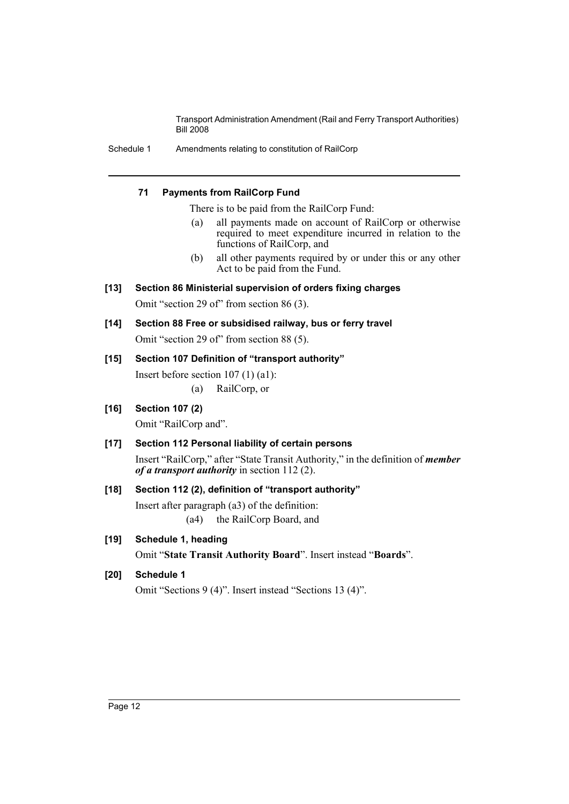Schedule 1 Amendments relating to constitution of RailCorp

### **71 Payments from RailCorp Fund**

There is to be paid from the RailCorp Fund:

- (a) all payments made on account of RailCorp or otherwise required to meet expenditure incurred in relation to the functions of RailCorp, and
- (b) all other payments required by or under this or any other Act to be paid from the Fund.
- **[13] Section 86 Ministerial supervision of orders fixing charges** Omit "section 29 of" from section 86 (3).
- **[14] Section 88 Free or subsidised railway, bus or ferry travel** Omit "section 29 of" from section 88 (5).
- **[15] Section 107 Definition of "transport authority"**
	- Insert before section 107 (1) (a1):
		- (a) RailCorp, or
- **[16] Section 107 (2)**

Omit "RailCorp and".

# **[17] Section 112 Personal liability of certain persons**

Insert "RailCorp," after "State Transit Authority," in the definition of *member of a transport authority* in section 112 (2).

# **[18] Section 112 (2), definition of "transport authority"**

Insert after paragraph (a3) of the definition: (a4) the RailCorp Board, and

# **[19] Schedule 1, heading**

Omit "**State Transit Authority Board**". Insert instead "**Boards**".

# **[20] Schedule 1**

Omit "Sections 9 (4)". Insert instead "Sections 13 (4)".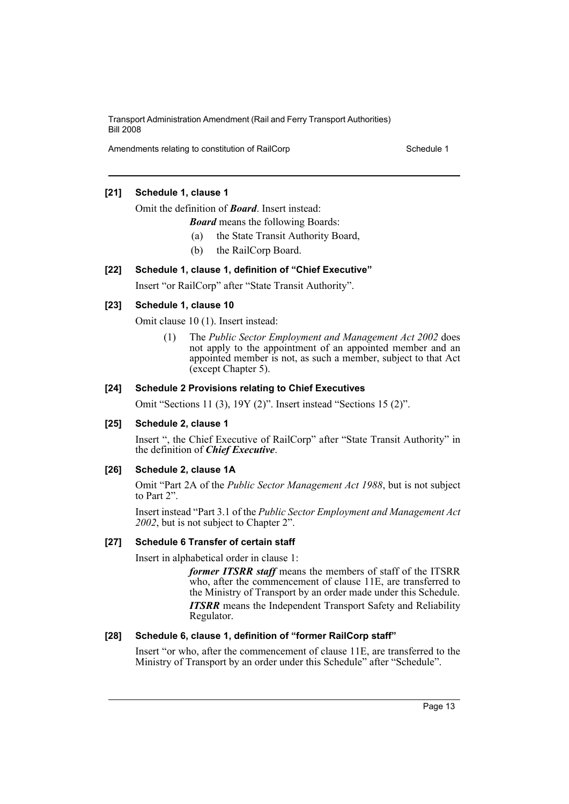Amendments relating to constitution of RailCorp **Schedule 1** Schedule 1

# **[21] Schedule 1, clause 1**

Omit the definition of *Board*. Insert instead:

*Board* means the following Boards:

- (a) the State Transit Authority Board,
- (b) the RailCorp Board.

### **[22] Schedule 1, clause 1, definition of "Chief Executive"**

Insert "or RailCorp" after "State Transit Authority".

### **[23] Schedule 1, clause 10**

Omit clause 10 (1). Insert instead:

(1) The *Public Sector Employment and Management Act 2002* does not apply to the appointment of an appointed member and an appointed member is not, as such a member, subject to that Act (except Chapter 5).

### **[24] Schedule 2 Provisions relating to Chief Executives**

Omit "Sections 11 (3), 19Y (2)". Insert instead "Sections 15 (2)".

### **[25] Schedule 2, clause 1**

Insert ", the Chief Executive of RailCorp" after "State Transit Authority" in the definition of *Chief Executive*.

### **[26] Schedule 2, clause 1A**

Omit "Part 2A of the *Public Sector Management Act 1988*, but is not subject to Part 2".

Insert instead "Part 3.1 of the *Public Sector Employment and Management Act 2002*, but is not subject to Chapter 2".

### **[27] Schedule 6 Transfer of certain staff**

Insert in alphabetical order in clause 1:

*former ITSRR staff* means the members of staff of the ITSRR who, after the commencement of clause 11E, are transferred to the Ministry of Transport by an order made under this Schedule. *ITSRR* means the Independent Transport Safety and Reliability Regulator.

### **[28] Schedule 6, clause 1, definition of "former RailCorp staff"**

Insert "or who, after the commencement of clause 11E, are transferred to the Ministry of Transport by an order under this Schedule" after "Schedule".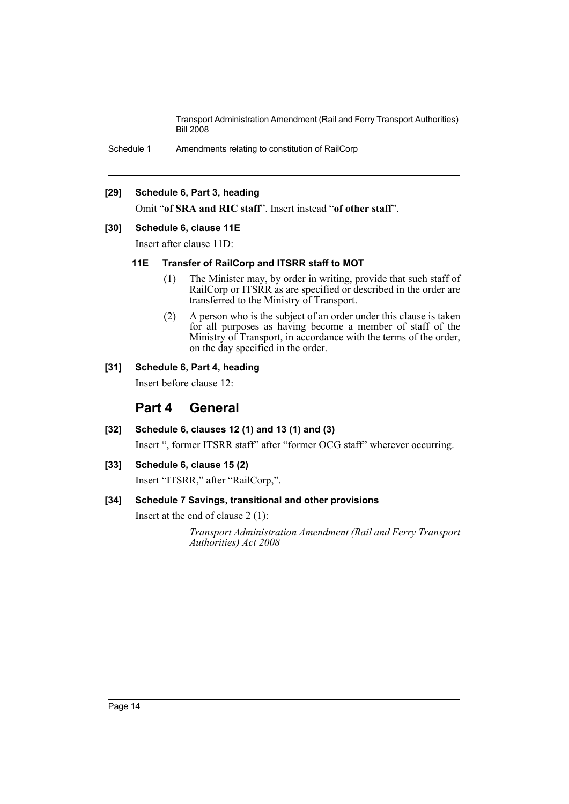Schedule 1 Amendments relating to constitution of RailCorp

### **[29] Schedule 6, Part 3, heading**

Omit "**of SRA and RIC staff**". Insert instead "**of other staff**".

### **[30] Schedule 6, clause 11E**

Insert after clause 11D:

### **11E Transfer of RailCorp and ITSRR staff to MOT**

- (1) The Minister may, by order in writing, provide that such staff of RailCorp or ITSRR as are specified or described in the order are transferred to the Ministry of Transport.
- (2) A person who is the subject of an order under this clause is taken for all purposes as having become a member of staff of the Ministry of Transport, in accordance with the terms of the order, on the day specified in the order.

### **[31] Schedule 6, Part 4, heading**

Insert before clause 12:

# **Part 4 General**

**[32] Schedule 6, clauses 12 (1) and 13 (1) and (3)**

Insert ", former ITSRR staff" after "former OCG staff" wherever occurring.

### **[33] Schedule 6, clause 15 (2)**

Insert "ITSRR," after "RailCorp,".

# **[34] Schedule 7 Savings, transitional and other provisions**

Insert at the end of clause 2 (1):

*Transport Administration Amendment (Rail and Ferry Transport Authorities) Act 2008*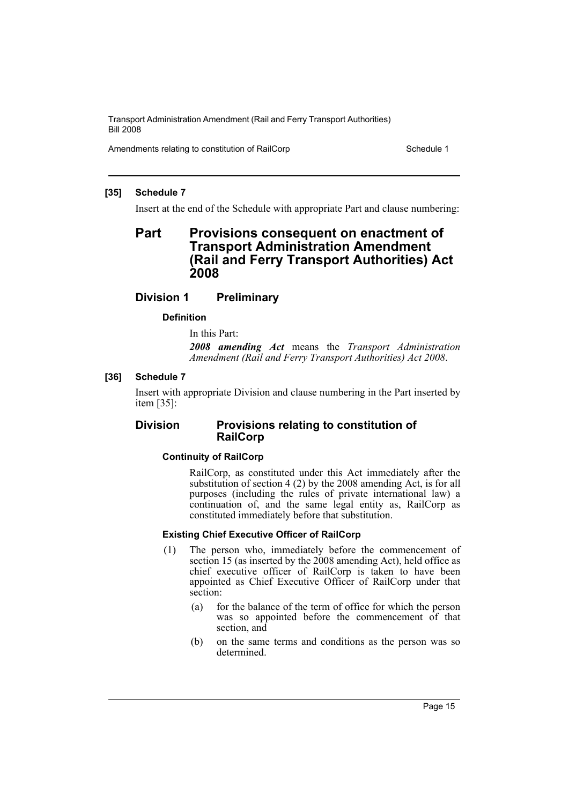Amendments relating to constitution of RailCorp Schedule 1

### **[35] Schedule 7**

Insert at the end of the Schedule with appropriate Part and clause numbering:

# **Part Provisions consequent on enactment of Transport Administration Amendment (Rail and Ferry Transport Authorities) Act 2008**

# **Division 1 Preliminary**

# **Definition**

In this Part:

*2008 amending Act* means the *Transport Administration Amendment (Rail and Ferry Transport Authorities) Act 2008*.

# **[36] Schedule 7**

Insert with appropriate Division and clause numbering in the Part inserted by item [35]:

# **Division Provisions relating to constitution of RailCorp**

# **Continuity of RailCorp**

RailCorp, as constituted under this Act immediately after the substitution of section 4 (2) by the 2008 amending Act, is for all purposes (including the rules of private international law) a continuation of, and the same legal entity as, RailCorp as constituted immediately before that substitution.

### **Existing Chief Executive Officer of RailCorp**

- (1) The person who, immediately before the commencement of section 15 (as inserted by the 2008 amending Act), held office as chief executive officer of RailCorp is taken to have been appointed as Chief Executive Officer of RailCorp under that section:
	- (a) for the balance of the term of office for which the person was so appointed before the commencement of that section, and
	- (b) on the same terms and conditions as the person was so determined.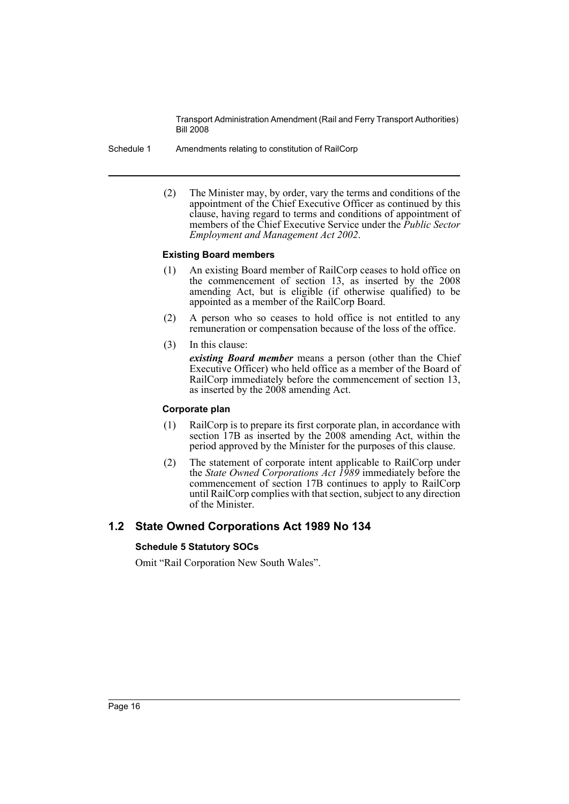- Schedule 1 Amendments relating to constitution of RailCorp
	- (2) The Minister may, by order, vary the terms and conditions of the appointment of the Chief Executive Officer as continued by this clause, having regard to terms and conditions of appointment of members of the Chief Executive Service under the *Public Sector Employment and Management Act 2002*.

### **Existing Board members**

- (1) An existing Board member of RailCorp ceases to hold office on the commencement of section 13, as inserted by the 2008 amending Act, but is eligible (if otherwise qualified) to be appointed as a member of the RailCorp Board.
- (2) A person who so ceases to hold office is not entitled to any remuneration or compensation because of the loss of the office.
- (3) In this clause: *existing Board member* means a person (other than the Chief

Executive Officer) who held office as a member of the Board of RailCorp immediately before the commencement of section 13, as inserted by the 2008 amending Act.

### **Corporate plan**

- (1) RailCorp is to prepare its first corporate plan, in accordance with section 17B as inserted by the 2008 amending Act, within the period approved by the Minister for the purposes of this clause.
- (2) The statement of corporate intent applicable to RailCorp under the *State Owned Corporations Act 1989* immediately before the commencement of section 17B continues to apply to RailCorp until RailCorp complies with that section, subject to any direction of the Minister.

# **1.2 State Owned Corporations Act 1989 No 134**

# **Schedule 5 Statutory SOCs**

Omit "Rail Corporation New South Wales".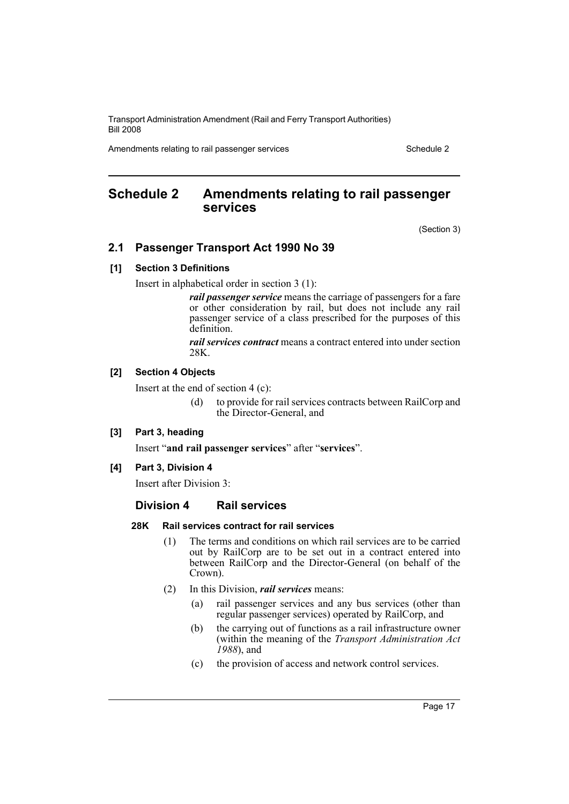Amendments relating to rail passenger services Schedule 2 Schedule 2

# <span id="page-17-0"></span>**Schedule 2 Amendments relating to rail passenger services**

(Section 3)

# **2.1 Passenger Transport Act 1990 No 39**

### **[1] Section 3 Definitions**

Insert in alphabetical order in section 3 (1):

*rail passenger service* means the carriage of passengers for a fare or other consideration by rail, but does not include any rail passenger service of a class prescribed for the purposes of this definition.

*rail services contract* means a contract entered into under section 28K.

### **[2] Section 4 Objects**

Insert at the end of section 4 (c):

(d) to provide for rail services contracts between RailCorp and the Director-General, and

### **[3] Part 3, heading**

Insert "**and rail passenger services**" after "**services**".

### **[4] Part 3, Division 4**

Insert after Division 3:

### **Division 4 Rail services**

### **28K Rail services contract for rail services**

- (1) The terms and conditions on which rail services are to be carried out by RailCorp are to be set out in a contract entered into between RailCorp and the Director-General (on behalf of the Crown).
- (2) In this Division, *rail services* means:
	- (a) rail passenger services and any bus services (other than regular passenger services) operated by RailCorp, and
	- (b) the carrying out of functions as a rail infrastructure owner (within the meaning of the *Transport Administration Act 1988*), and
	- (c) the provision of access and network control services.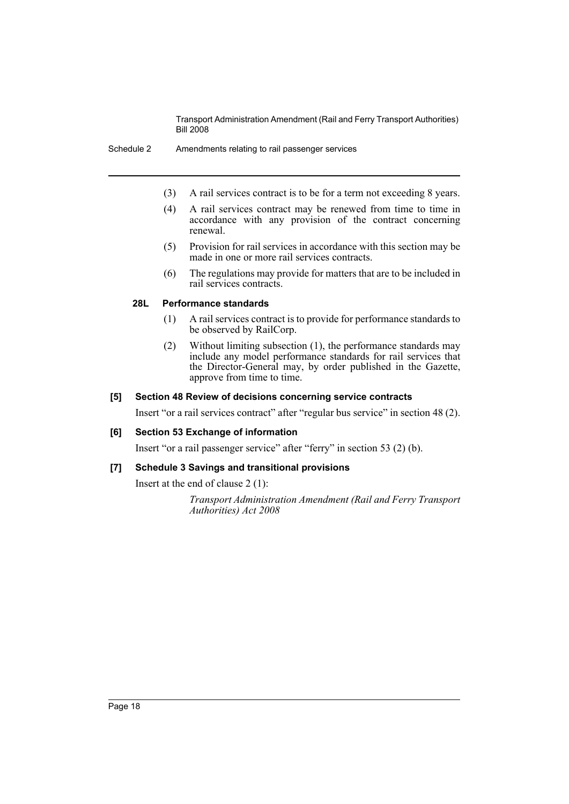- (3) A rail services contract is to be for a term not exceeding 8 years.
- (4) A rail services contract may be renewed from time to time in accordance with any provision of the contract concerning renewal.
- (5) Provision for rail services in accordance with this section may be made in one or more rail services contracts.
- (6) The regulations may provide for matters that are to be included in rail services contracts.

### **28L Performance standards**

- (1) A rail services contract is to provide for performance standards to be observed by RailCorp.
- (2) Without limiting subsection (1), the performance standards may include any model performance standards for rail services that the Director-General may, by order published in the Gazette, approve from time to time.

#### **[5] Section 48 Review of decisions concerning service contracts**

Insert "or a rail services contract" after "regular bus service" in section 48 (2).

### **[6] Section 53 Exchange of information**

Insert "or a rail passenger service" after "ferry" in section 53 (2) (b).

# **[7] Schedule 3 Savings and transitional provisions**

Insert at the end of clause 2 (1):

*Transport Administration Amendment (Rail and Ferry Transport Authorities) Act 2008*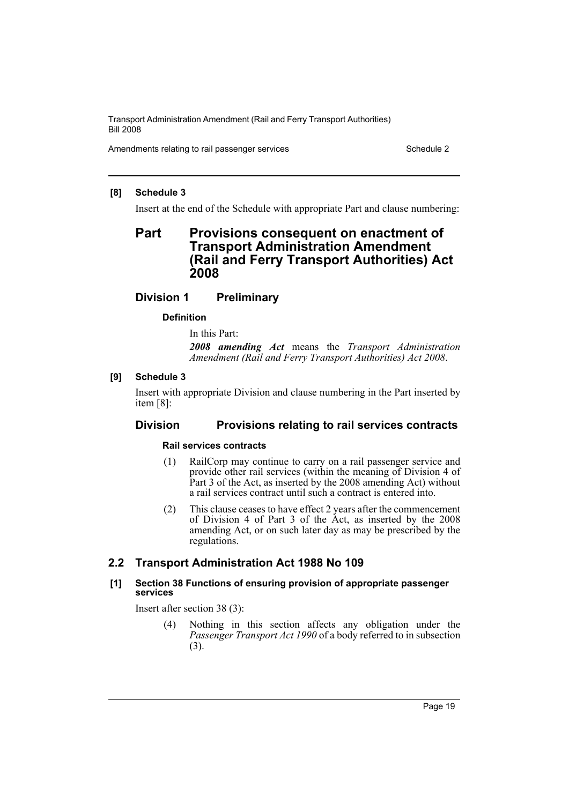Amendments relating to rail passenger services Schedule 2 Schedule 2

### **[8] Schedule 3**

Insert at the end of the Schedule with appropriate Part and clause numbering:

# **Part Provisions consequent on enactment of Transport Administration Amendment (Rail and Ferry Transport Authorities) Act 2008**

# **Division 1 Preliminary**

# **Definition**

In this Part:

*2008 amending Act* means the *Transport Administration Amendment (Rail and Ferry Transport Authorities) Act 2008*.

# **[9] Schedule 3**

Insert with appropriate Division and clause numbering in the Part inserted by item [8]:

# **Division Provisions relating to rail services contracts**

### **Rail services contracts**

- (1) RailCorp may continue to carry on a rail passenger service and provide other rail services (within the meaning of Division 4 of Part 3 of the Act, as inserted by the 2008 amending Act) without a rail services contract until such a contract is entered into.
- (2) This clause ceases to have effect 2 years after the commencement of Division 4 of Part 3 of the Act, as inserted by the 2008 amending Act, or on such later day as may be prescribed by the regulations.

# **2.2 Transport Administration Act 1988 No 109**

### **[1] Section 38 Functions of ensuring provision of appropriate passenger services**

Insert after section 38 (3):

(4) Nothing in this section affects any obligation under the *Passenger Transport Act 1990* of a body referred to in subsection (3).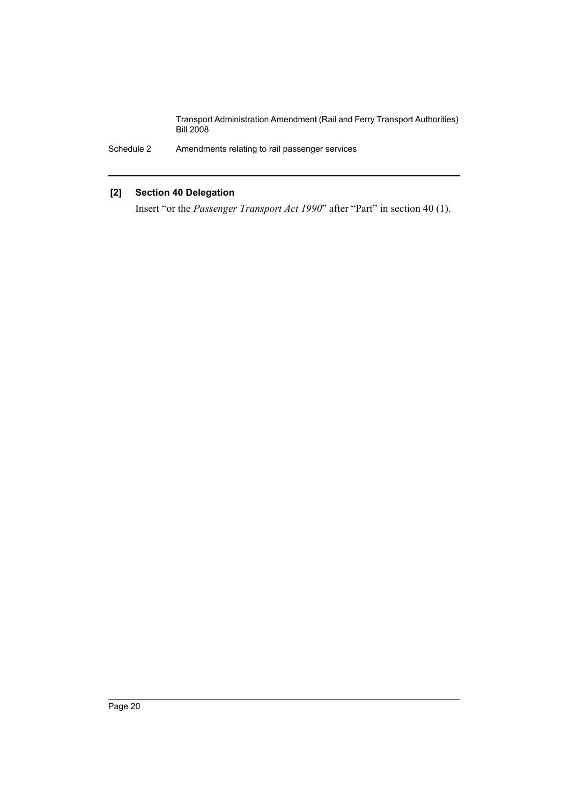Schedule 2 Amendments relating to rail passenger services

# **[2] Section 40 Delegation**

Insert "or the *Passenger Transport Act 1990*" after "Part" in section 40 (1).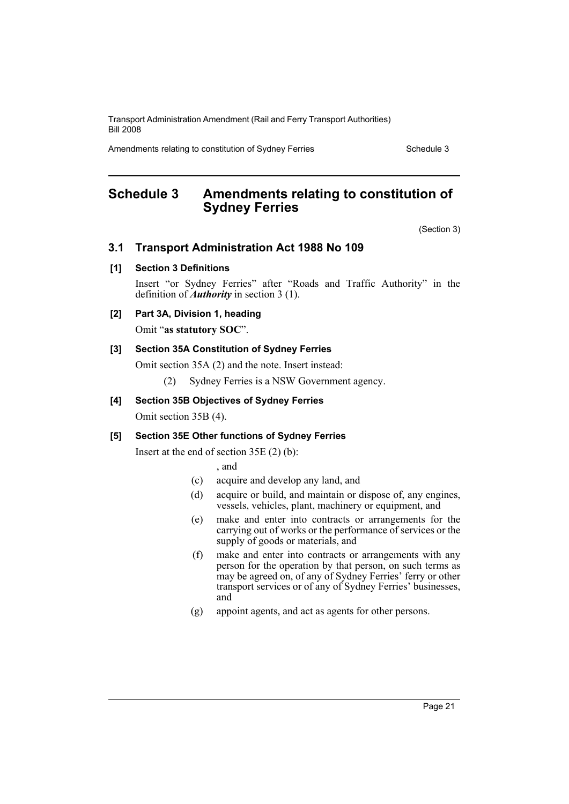Amendments relating to constitution of Sydney Ferries Schedule 3

# <span id="page-21-0"></span>**Schedule 3 Amendments relating to constitution of Sydney Ferries**

(Section 3)

# **3.1 Transport Administration Act 1988 No 109**

### **[1] Section 3 Definitions**

Insert "or Sydney Ferries" after "Roads and Traffic Authority" in the definition of *Authority* in section 3 (1).

### **[2] Part 3A, Division 1, heading**

Omit "**as statutory SOC**".

### **[3] Section 35A Constitution of Sydney Ferries**

Omit section 35A (2) and the note. Insert instead:

(2) Sydney Ferries is a NSW Government agency.

### **[4] Section 35B Objectives of Sydney Ferries**

Omit section 35B (4).

### **[5] Section 35E Other functions of Sydney Ferries**

Insert at the end of section 35E (2) (b):

, and

- (c) acquire and develop any land, and
- (d) acquire or build, and maintain or dispose of, any engines, vessels, vehicles, plant, machinery or equipment, and
- (e) make and enter into contracts or arrangements for the carrying out of works or the performance of services or the supply of goods or materials, and
- (f) make and enter into contracts or arrangements with any person for the operation by that person, on such terms as may be agreed on, of any of Sydney Ferries' ferry or other transport services or of any of Sydney Ferries' businesses, and
- (g) appoint agents, and act as agents for other persons.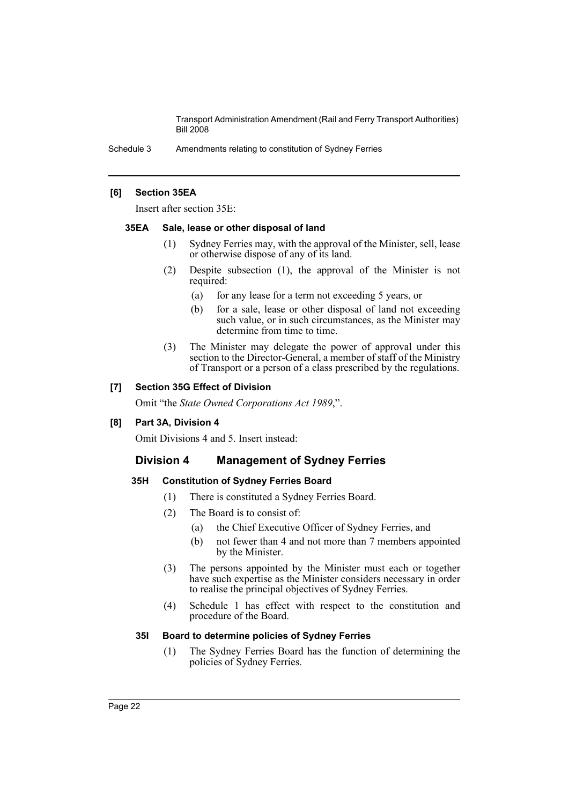Schedule 3 Amendments relating to constitution of Sydney Ferries

### **[6] Section 35EA**

Insert after section 35E:

### **35EA Sale, lease or other disposal of land**

- (1) Sydney Ferries may, with the approval of the Minister, sell, lease or otherwise dispose of any of its land.
- (2) Despite subsection (1), the approval of the Minister is not required:
	- (a) for any lease for a term not exceeding 5 years, or
	- (b) for a sale, lease or other disposal of land not exceeding such value, or in such circumstances, as the Minister may determine from time to time.
- (3) The Minister may delegate the power of approval under this section to the Director-General, a member of staff of the Ministry of Transport or a person of a class prescribed by the regulations.

### **[7] Section 35G Effect of Division**

Omit "the *State Owned Corporations Act 1989*,".

### **[8] Part 3A, Division 4**

Omit Divisions 4 and 5. Insert instead:

### **Division 4 Management of Sydney Ferries**

### **35H Constitution of Sydney Ferries Board**

- (1) There is constituted a Sydney Ferries Board.
- (2) The Board is to consist of:
	- (a) the Chief Executive Officer of Sydney Ferries, and
	- (b) not fewer than 4 and not more than 7 members appointed by the Minister.
- (3) The persons appointed by the Minister must each or together have such expertise as the Minister considers necessary in order to realise the principal objectives of Sydney Ferries.
- (4) Schedule 1 has effect with respect to the constitution and procedure of the Board.

### **35I Board to determine policies of Sydney Ferries**

(1) The Sydney Ferries Board has the function of determining the policies of Sydney Ferries.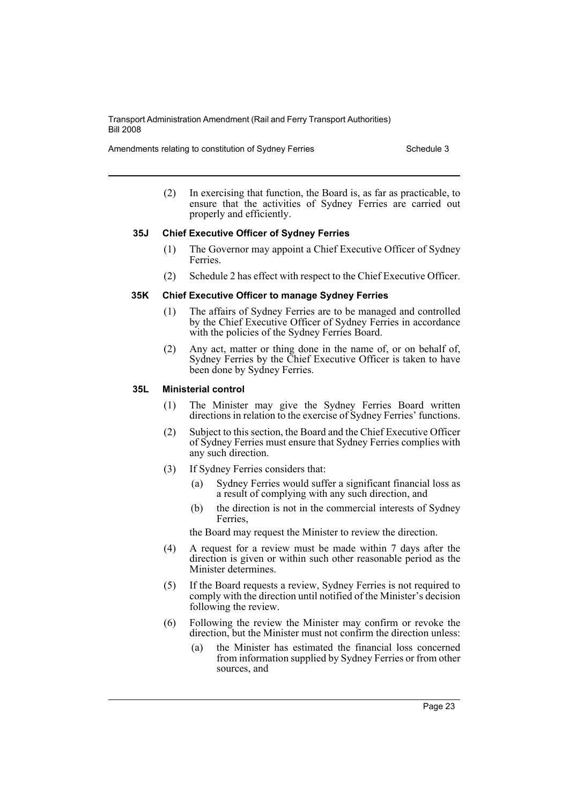Amendments relating to constitution of Sydney Ferries Schedule 3

(2) In exercising that function, the Board is, as far as practicable, to ensure that the activities of Sydney Ferries are carried out properly and efficiently.

### **35J Chief Executive Officer of Sydney Ferries**

- (1) The Governor may appoint a Chief Executive Officer of Sydney Ferries.
- (2) Schedule 2 has effect with respect to the Chief Executive Officer.

### **35K Chief Executive Officer to manage Sydney Ferries**

- (1) The affairs of Sydney Ferries are to be managed and controlled by the Chief Executive Officer of Sydney Ferries in accordance with the policies of the Sydney Ferries Board.
- (2) Any act, matter or thing done in the name of, or on behalf of, Sydney Ferries by the Chief Executive Officer is taken to have been done by Sydney Ferries.

### **35L Ministerial control**

- (1) The Minister may give the Sydney Ferries Board written directions in relation to the exercise of Sydney Ferries' functions.
- (2) Subject to this section, the Board and the Chief Executive Officer of Sydney Ferries must ensure that Sydney Ferries complies with any such direction.
- (3) If Sydney Ferries considers that:
	- (a) Sydney Ferries would suffer a significant financial loss as a result of complying with any such direction, and
	- (b) the direction is not in the commercial interests of Sydney **Ferries**

the Board may request the Minister to review the direction.

- (4) A request for a review must be made within 7 days after the direction is given or within such other reasonable period as the Minister determines.
- (5) If the Board requests a review, Sydney Ferries is not required to comply with the direction until notified of the Minister's decision following the review.
- (6) Following the review the Minister may confirm or revoke the direction, but the Minister must not confirm the direction unless:
	- (a) the Minister has estimated the financial loss concerned from information supplied by Sydney Ferries or from other sources, and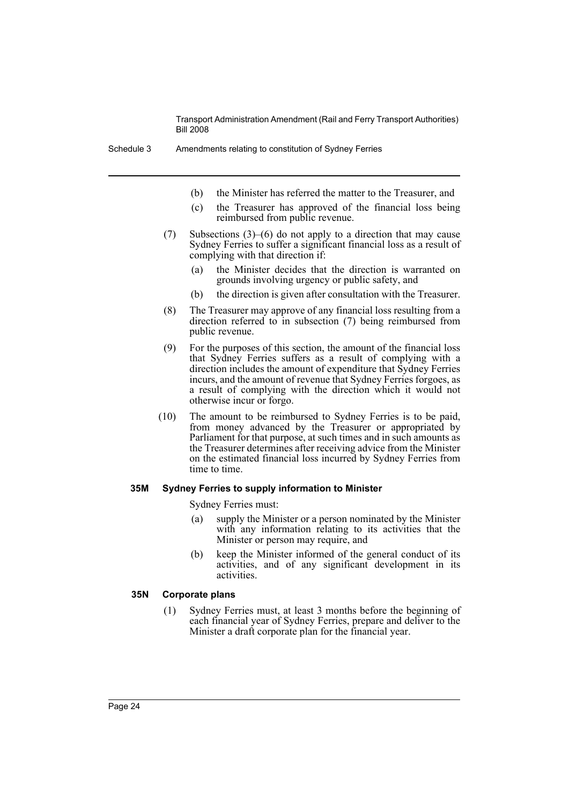- (b) the Minister has referred the matter to the Treasurer, and
- (c) the Treasurer has approved of the financial loss being reimbursed from public revenue.
- (7) Subsections (3)–(6) do not apply to a direction that may cause Sydney Ferries to suffer a significant financial loss as a result of complying with that direction if:
	- (a) the Minister decides that the direction is warranted on grounds involving urgency or public safety, and
	- (b) the direction is given after consultation with the Treasurer.
- (8) The Treasurer may approve of any financial loss resulting from a direction referred to in subsection (7) being reimbursed from public revenue.
- (9) For the purposes of this section, the amount of the financial loss that Sydney Ferries suffers as a result of complying with a direction includes the amount of expenditure that Sydney Ferries incurs, and the amount of revenue that Sydney Ferries forgoes, as a result of complying with the direction which it would not otherwise incur or forgo.
- (10) The amount to be reimbursed to Sydney Ferries is to be paid, from money advanced by the Treasurer or appropriated by Parliament for that purpose, at such times and in such amounts as the Treasurer determines after receiving advice from the Minister on the estimated financial loss incurred by Sydney Ferries from time to time.

#### **35M Sydney Ferries to supply information to Minister**

Sydney Ferries must:

- (a) supply the Minister or a person nominated by the Minister with any information relating to its activities that the Minister or person may require, and
- (b) keep the Minister informed of the general conduct of its activities, and of any significant development in its activities.

### **35N Corporate plans**

(1) Sydney Ferries must, at least 3 months before the beginning of each financial year of Sydney Ferries, prepare and deliver to the Minister a draft corporate plan for the financial year.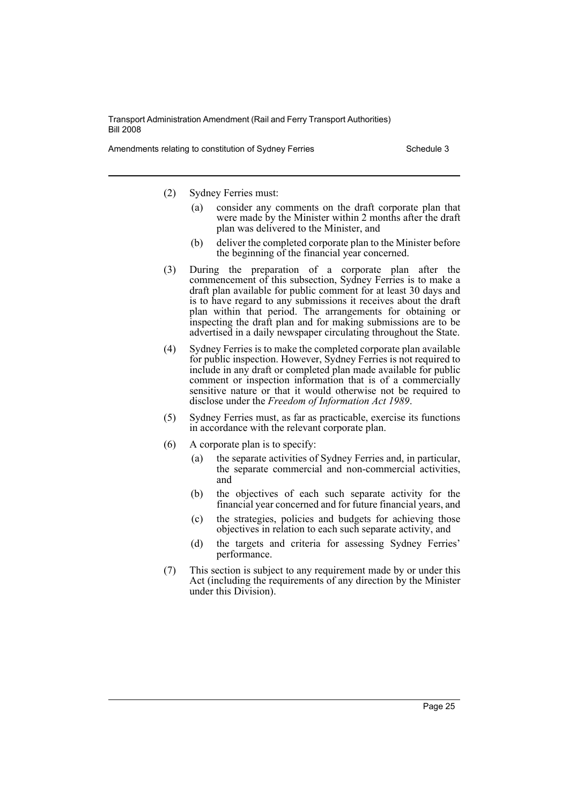Amendments relating to constitution of Sydney Ferries Schedule 3

(2) Sydney Ferries must:

- (a) consider any comments on the draft corporate plan that were made by the Minister within 2 months after the draft plan was delivered to the Minister, and
- (b) deliver the completed corporate plan to the Minister before the beginning of the financial year concerned.
- (3) During the preparation of a corporate plan after the commencement of this subsection, Sydney Ferries is to make a draft plan available for public comment for at least 30 days and is to have regard to any submissions it receives about the draft plan within that period. The arrangements for obtaining or inspecting the draft plan and for making submissions are to be advertised in a daily newspaper circulating throughout the State.
- (4) Sydney Ferries is to make the completed corporate plan available for public inspection. However, Sydney Ferries is not required to include in any draft or completed plan made available for public comment or inspection information that is of a commercially sensitive nature or that it would otherwise not be required to disclose under the *Freedom of Information Act 1989*.
- (5) Sydney Ferries must, as far as practicable, exercise its functions in accordance with the relevant corporate plan.
- (6) A corporate plan is to specify:
	- (a) the separate activities of Sydney Ferries and, in particular, the separate commercial and non-commercial activities, and
	- (b) the objectives of each such separate activity for the financial year concerned and for future financial years, and
	- (c) the strategies, policies and budgets for achieving those objectives in relation to each such separate activity, and
	- (d) the targets and criteria for assessing Sydney Ferries' performance.
- (7) This section is subject to any requirement made by or under this Act (including the requirements of any direction by the Minister under this Division).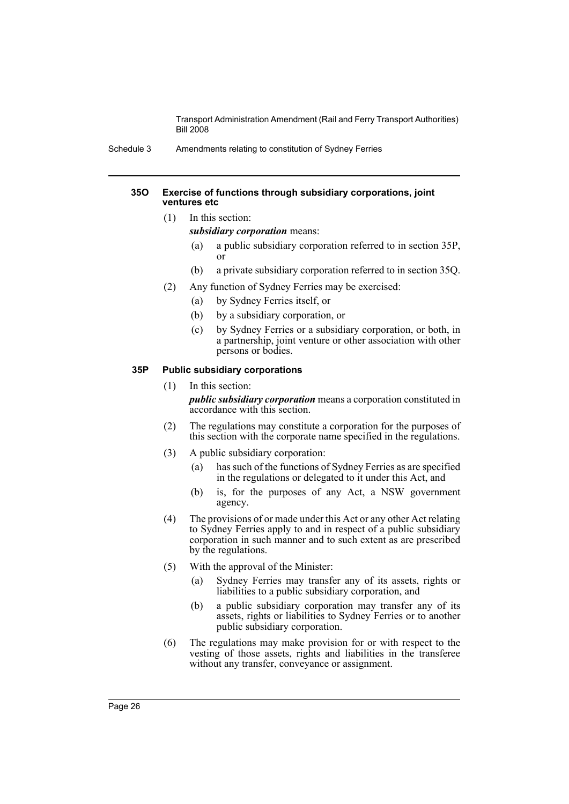Schedule 3 Amendments relating to constitution of Sydney Ferries

### **35O Exercise of functions through subsidiary corporations, joint ventures etc**

- (1) In this section:
	- *subsidiary corporation* means:
		- (a) a public subsidiary corporation referred to in section 35P, or
	- (b) a private subsidiary corporation referred to in section 35Q.
- (2) Any function of Sydney Ferries may be exercised:
	- (a) by Sydney Ferries itself, or
	- (b) by a subsidiary corporation, or
	- (c) by Sydney Ferries or a subsidiary corporation, or both, in a partnership, joint venture or other association with other persons or bodies.

### **35P Public subsidiary corporations**

### (1) In this section:

*public subsidiary corporation* means a corporation constituted in accordance with this section.

- (2) The regulations may constitute a corporation for the purposes of this section with the corporate name specified in the regulations.
- (3) A public subsidiary corporation:
	- (a) has such of the functions of Sydney Ferries as are specified in the regulations or delegated to it under this Act, and
	- (b) is, for the purposes of any Act, a NSW government agency.
- (4) The provisions of or made under this Act or any other Act relating to Sydney Ferries apply to and in respect of a public subsidiary corporation in such manner and to such extent as are prescribed by the regulations.
- (5) With the approval of the Minister:
	- (a) Sydney Ferries may transfer any of its assets, rights or liabilities to a public subsidiary corporation, and
	- (b) a public subsidiary corporation may transfer any of its assets, rights or liabilities to Sydney Ferries or to another public subsidiary corporation.
- (6) The regulations may make provision for or with respect to the vesting of those assets, rights and liabilities in the transferee without any transfer, conveyance or assignment.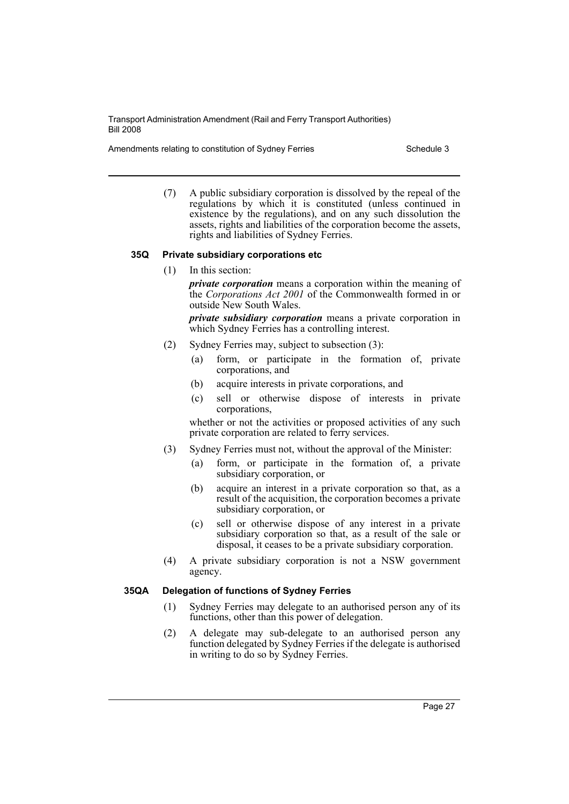Amendments relating to constitution of Sydney Ferries Schedule 3

(7) A public subsidiary corporation is dissolved by the repeal of the regulations by which it is constituted (unless continued in existence by the regulations), and on any such dissolution the assets, rights and liabilities of the corporation become the assets, rights and liabilities of Sydney Ferries.

### **35Q Private subsidiary corporations etc**

(1) In this section:

*private corporation* means a corporation within the meaning of the *Corporations Act 2001* of the Commonwealth formed in or outside New South Wales.

*private subsidiary corporation* means a private corporation in which Sydney Ferries has a controlling interest.

- (2) Sydney Ferries may, subject to subsection (3):
	- (a) form, or participate in the formation of, private corporations, and
	- (b) acquire interests in private corporations, and
	- (c) sell or otherwise dispose of interests in private corporations,

whether or not the activities or proposed activities of any such private corporation are related to ferry services.

- (3) Sydney Ferries must not, without the approval of the Minister:
	- (a) form, or participate in the formation of, a private subsidiary corporation, or
	- (b) acquire an interest in a private corporation so that, as a result of the acquisition, the corporation becomes a private subsidiary corporation, or
	- (c) sell or otherwise dispose of any interest in a private subsidiary corporation so that, as a result of the sale or disposal, it ceases to be a private subsidiary corporation.
- (4) A private subsidiary corporation is not a NSW government agency.

### **35QA Delegation of functions of Sydney Ferries**

- (1) Sydney Ferries may delegate to an authorised person any of its functions, other than this power of delegation.
- (2) A delegate may sub-delegate to an authorised person any function delegated by Sydney Ferries if the delegate is authorised in writing to do so by Sydney Ferries.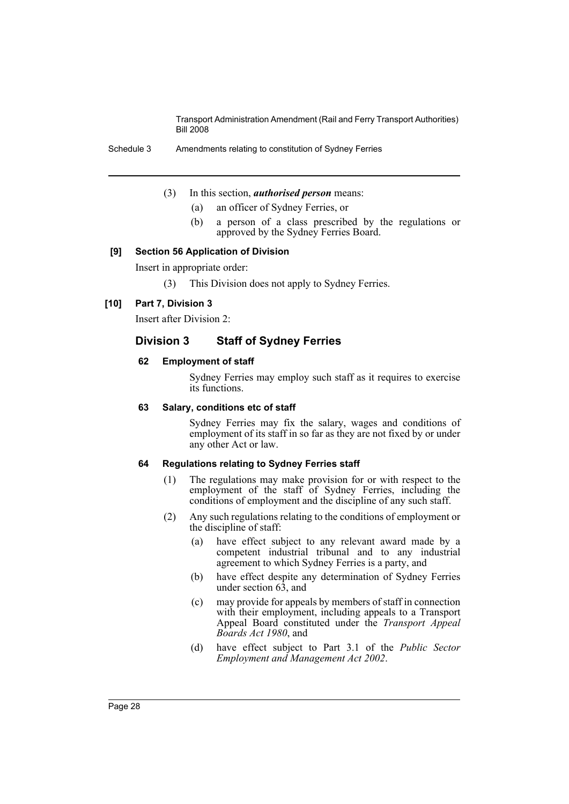Schedule 3 Amendments relating to constitution of Sydney Ferries

- (3) In this section, *authorised person* means:
	- (a) an officer of Sydney Ferries, or
	- (b) a person of a class prescribed by the regulations or approved by the Sydney Ferries Board.

### **[9] Section 56 Application of Division**

Insert in appropriate order:

(3) This Division does not apply to Sydney Ferries.

### **[10] Part 7, Division 3**

Insert after Division 2:

# **Division 3 Staff of Sydney Ferries**

### **62 Employment of staff**

Sydney Ferries may employ such staff as it requires to exercise its functions.

### **63 Salary, conditions etc of staff**

Sydney Ferries may fix the salary, wages and conditions of employment of its staff in so far as they are not fixed by or under any other Act or law.

### **64 Regulations relating to Sydney Ferries staff**

- (1) The regulations may make provision for or with respect to the employment of the staff of Sydney Ferries, including the conditions of employment and the discipline of any such staff.
- (2) Any such regulations relating to the conditions of employment or the discipline of staff:
	- (a) have effect subject to any relevant award made by a competent industrial tribunal and to any industrial agreement to which Sydney Ferries is a party, and
	- (b) have effect despite any determination of Sydney Ferries under section 63, and
	- (c) may provide for appeals by members of staff in connection with their employment, including appeals to a Transport Appeal Board constituted under the *Transport Appeal Boards Act 1980*, and
	- (d) have effect subject to Part 3.1 of the *Public Sector Employment and Management Act 2002*.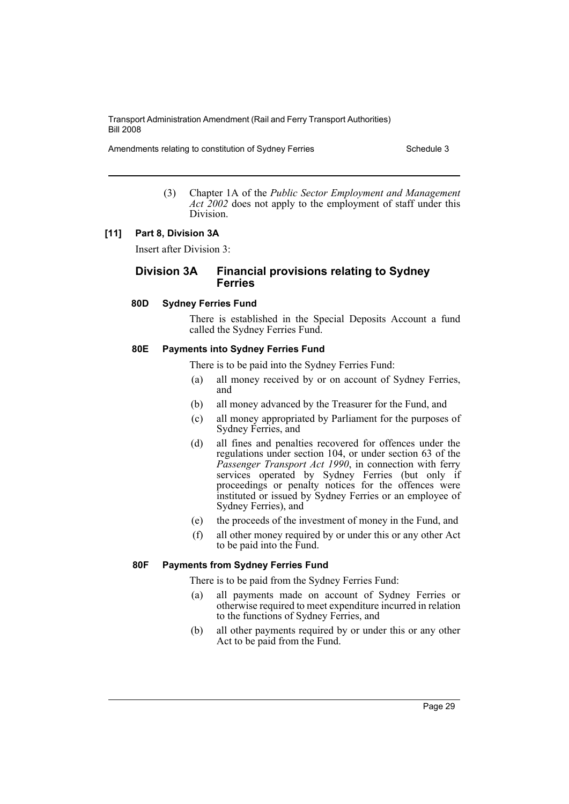Amendments relating to constitution of Sydney Ferries Schedule 3

(3) Chapter 1A of the *Public Sector Employment and Management* Act 2002 does not apply to the employment of staff under this Division.

### **[11] Part 8, Division 3A**

Insert after Division 3:

# **Division 3A Financial provisions relating to Sydney Ferries**

### **80D Sydney Ferries Fund**

There is established in the Special Deposits Account a fund called the Sydney Ferries Fund.

### **80E Payments into Sydney Ferries Fund**

There is to be paid into the Sydney Ferries Fund:

- (a) all money received by or on account of Sydney Ferries, and
- (b) all money advanced by the Treasurer for the Fund, and
- (c) all money appropriated by Parliament for the purposes of Sydney Ferries, and
- (d) all fines and penalties recovered for offences under the regulations under section 104, or under section 63 of the *Passenger Transport Act 1990*, in connection with ferry services operated by Sydney Ferries (but only if proceedings or penalty notices for the offences were instituted or issued by Sydney Ferries or an employee of Sydney Ferries), and
- (e) the proceeds of the investment of money in the Fund, and
- (f) all other money required by or under this or any other Act to be paid into the Fund.

### **80F Payments from Sydney Ferries Fund**

There is to be paid from the Sydney Ferries Fund:

- (a) all payments made on account of Sydney Ferries or otherwise required to meet expenditure incurred in relation to the functions of Sydney Ferries, and
- (b) all other payments required by or under this or any other Act to be paid from the Fund.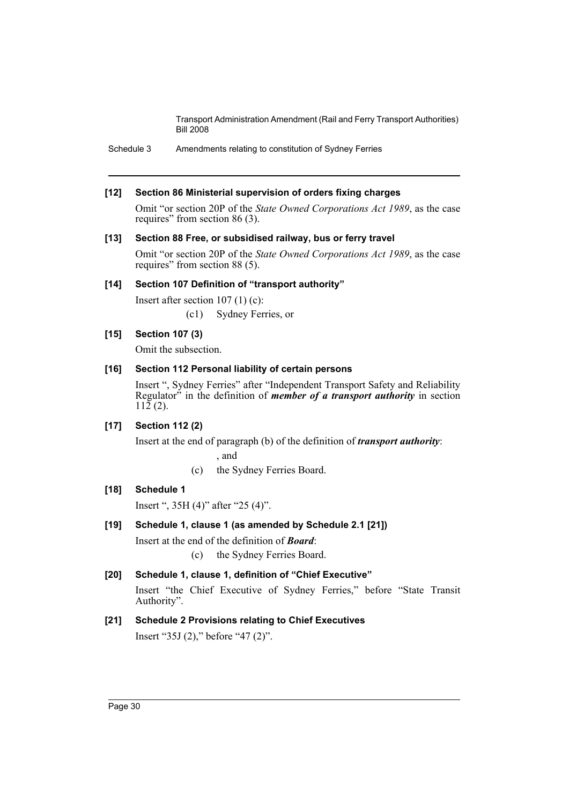Schedule 3 Amendments relating to constitution of Sydney Ferries

### **[12] Section 86 Ministerial supervision of orders fixing charges**

Omit "or section 20P of the *State Owned Corporations Act 1989*, as the case requires" from section 86 (3).

### **[13] Section 88 Free, or subsidised railway, bus or ferry travel**

Omit "or section 20P of the *State Owned Corporations Act 1989*, as the case requires" from section 88 (5).

### **[14] Section 107 Definition of "transport authority"**

Insert after section 107 (1) (c):

(c1) Sydney Ferries, or

### **[15] Section 107 (3)**

Omit the subsection.

### **[16] Section 112 Personal liability of certain persons**

Insert ", Sydney Ferries" after "Independent Transport Safety and Reliability Regulator" in the definition of *member of a transport authority* in section  $112(2)$ .

### **[17] Section 112 (2)**

Insert at the end of paragraph (b) of the definition of *transport authority*:

, and

(c) the Sydney Ferries Board.

# **[18] Schedule 1**

Insert ", 35H (4)" after "25 (4)".

# **[19] Schedule 1, clause 1 (as amended by Schedule 2.1 [21])**

Insert at the end of the definition of *Board*:

(c) the Sydney Ferries Board.

# **[20] Schedule 1, clause 1, definition of "Chief Executive"**

Insert "the Chief Executive of Sydney Ferries," before "State Transit Authority".

# **[21] Schedule 2 Provisions relating to Chief Executives**

Insert "35J (2)," before "47 (2)".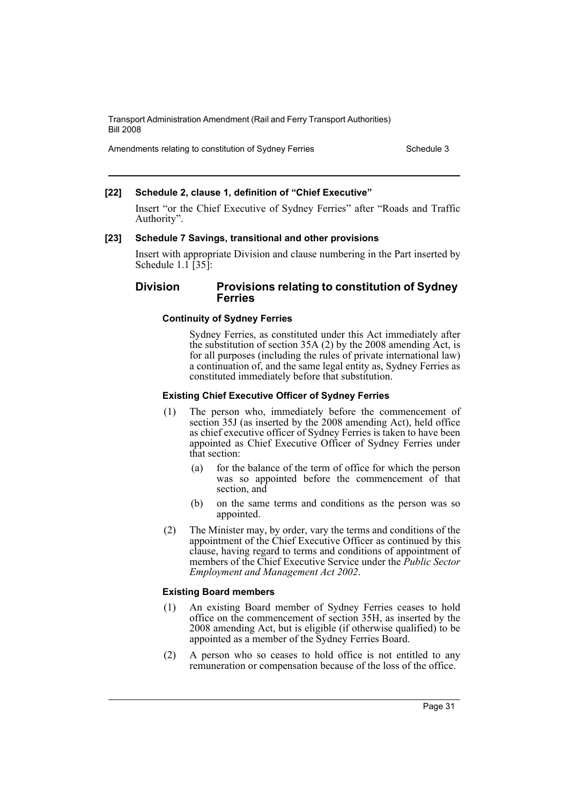Amendments relating to constitution of Sydney Ferries Schedule 3

### **[22] Schedule 2, clause 1, definition of "Chief Executive"**

Insert "or the Chief Executive of Sydney Ferries" after "Roads and Traffic Authority".

### **[23] Schedule 7 Savings, transitional and other provisions**

Insert with appropriate Division and clause numbering in the Part inserted by Schedule  $1.1$  [35]:

# **Division Provisions relating to constitution of Sydney Ferries**

### **Continuity of Sydney Ferries**

Sydney Ferries, as constituted under this Act immediately after the substitution of section 35A (2) by the 2008 amending Act, is for all purposes (including the rules of private international law) a continuation of, and the same legal entity as, Sydney Ferries as constituted immediately before that substitution.

### **Existing Chief Executive Officer of Sydney Ferries**

- (1) The person who, immediately before the commencement of section 35J (as inserted by the 2008 amending Act), held office as chief executive officer of Sydney Ferries is taken to have been appointed as Chief Executive Officer of Sydney Ferries under that section:
	- (a) for the balance of the term of office for which the person was so appointed before the commencement of that section, and
	- (b) on the same terms and conditions as the person was so appointed.
- (2) The Minister may, by order, vary the terms and conditions of the appointment of the Chief Executive Officer as continued by this clause, having regard to terms and conditions of appointment of members of the Chief Executive Service under the *Public Sector Employment and Management Act 2002*.

### **Existing Board members**

- (1) An existing Board member of Sydney Ferries ceases to hold office on the commencement of section 35H, as inserted by the 2008 amending Act, but is eligible (if otherwise qualified) to be appointed as a member of the Sydney Ferries Board.
- (2) A person who so ceases to hold office is not entitled to any remuneration or compensation because of the loss of the office.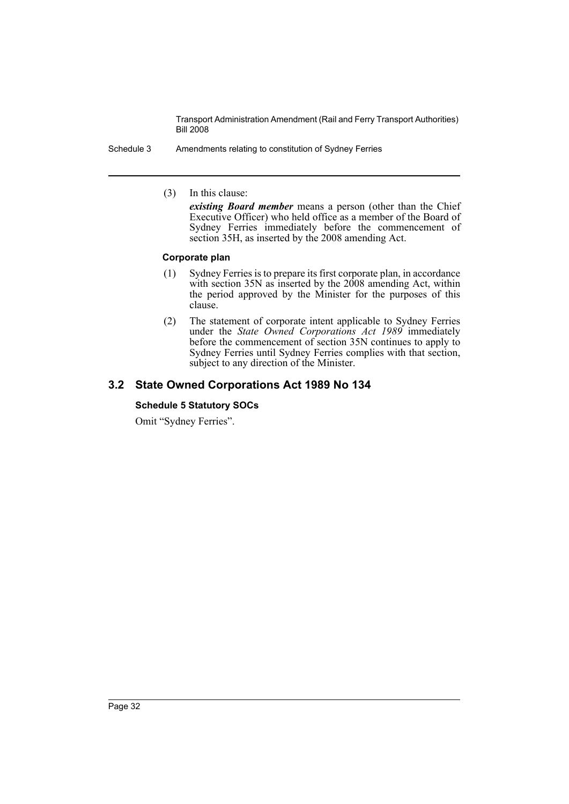Schedule 3 Amendments relating to constitution of Sydney Ferries

(3) In this clause:

*existing Board member* means a person (other than the Chief Executive Officer) who held office as a member of the Board of Sydney Ferries immediately before the commencement of section 35H, as inserted by the 2008 amending Act.

### **Corporate plan**

- (1) Sydney Ferries is to prepare its first corporate plan, in accordance with section 35N as inserted by the 2008 amending Act, within the period approved by the Minister for the purposes of this clause.
- (2) The statement of corporate intent applicable to Sydney Ferries under the *State Owned Corporations Act 1989* immediately before the commencement of section 35N continues to apply to Sydney Ferries until Sydney Ferries complies with that section, subject to any direction of the Minister.

# **3.2 State Owned Corporations Act 1989 No 134**

### **Schedule 5 Statutory SOCs**

Omit "Sydney Ferries".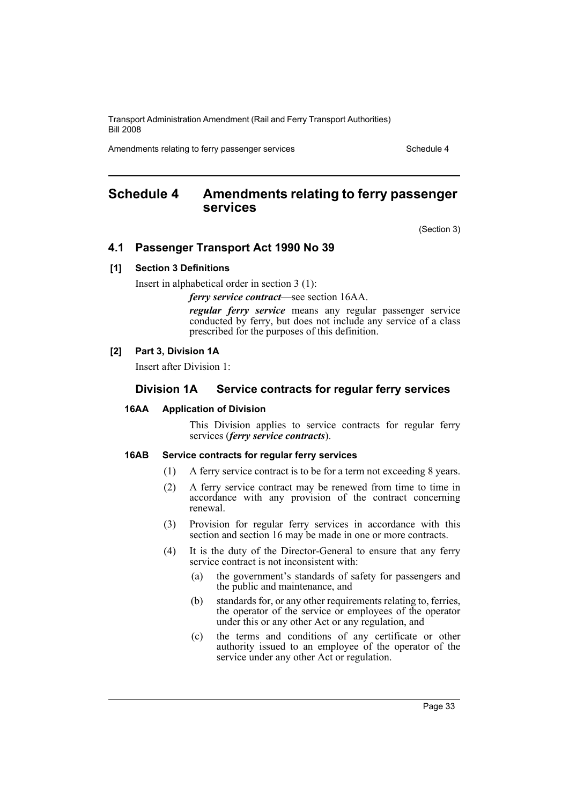Amendments relating to ferry passenger services Schedule 4

# <span id="page-33-0"></span>**Schedule 4 Amendments relating to ferry passenger services**

(Section 3)

# **4.1 Passenger Transport Act 1990 No 39**

### **[1] Section 3 Definitions**

Insert in alphabetical order in section 3 (1):

*ferry service contract*—see section 16AA.

*regular ferry service* means any regular passenger service conducted by ferry, but does not include any service of a class prescribed for the purposes of this definition.

### **[2] Part 3, Division 1A**

Insert after Division 1:

### **Division 1A Service contracts for regular ferry services**

#### **16AA Application of Division**

This Division applies to service contracts for regular ferry services (*ferry service contracts*).

### **16AB Service contracts for regular ferry services**

- (1) A ferry service contract is to be for a term not exceeding 8 years.
- (2) A ferry service contract may be renewed from time to time in accordance with any provision of the contract concerning renewal.
- (3) Provision for regular ferry services in accordance with this section and section 16 may be made in one or more contracts.
- (4) It is the duty of the Director-General to ensure that any ferry service contract is not inconsistent with:
	- (a) the government's standards of safety for passengers and the public and maintenance, and
	- (b) standards for, or any other requirements relating to, ferries, the operator of the service or employees of the operator under this or any other Act or any regulation, and
	- (c) the terms and conditions of any certificate or other authority issued to an employee of the operator of the service under any other Act or regulation.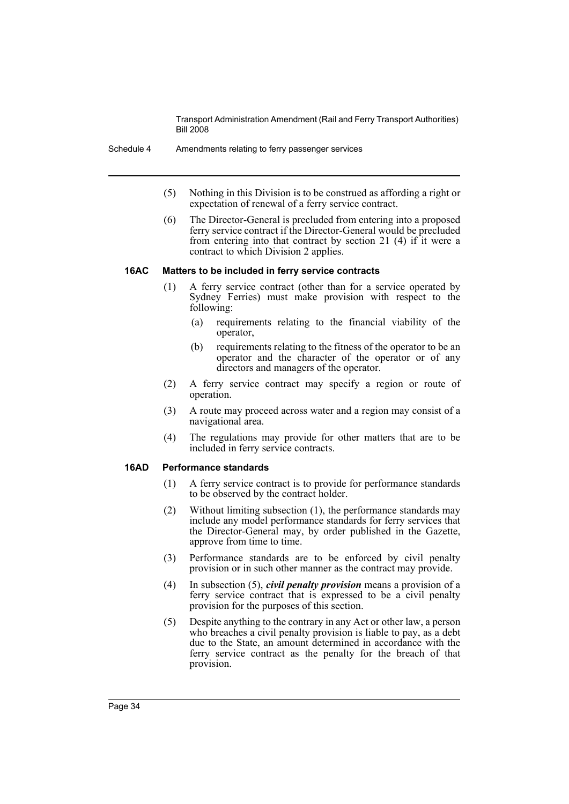- (5) Nothing in this Division is to be construed as affording a right or expectation of renewal of a ferry service contract.
- (6) The Director-General is precluded from entering into a proposed ferry service contract if the Director-General would be precluded from entering into that contract by section 21 (4) if it were a contract to which Division 2 applies.

#### **16AC Matters to be included in ferry service contracts**

- (1) A ferry service contract (other than for a service operated by Sydney Ferries) must make provision with respect to the following:
	- (a) requirements relating to the financial viability of the operator,
	- (b) requirements relating to the fitness of the operator to be an operator and the character of the operator or of any directors and managers of the operator.
- (2) A ferry service contract may specify a region or route of operation.
- (3) A route may proceed across water and a region may consist of a navigational area.
- (4) The regulations may provide for other matters that are to be included in ferry service contracts.

### **16AD Performance standards**

- (1) A ferry service contract is to provide for performance standards to be observed by the contract holder.
- (2) Without limiting subsection (1), the performance standards may include any model performance standards for ferry services that the Director-General may, by order published in the Gazette, approve from time to time.
- (3) Performance standards are to be enforced by civil penalty provision or in such other manner as the contract may provide.
- (4) In subsection (5), *civil penalty provision* means a provision of a ferry service contract that is expressed to be a civil penalty provision for the purposes of this section.
- (5) Despite anything to the contrary in any Act or other law, a person who breaches a civil penalty provision is liable to pay, as a debt due to the State, an amount determined in accordance with the ferry service contract as the penalty for the breach of that provision.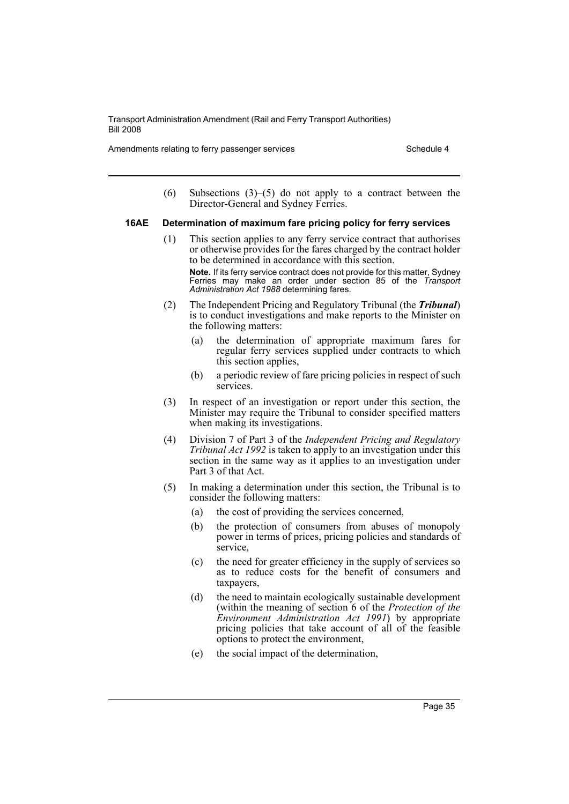Amendments relating to ferry passenger services Schedule 4

(6) Subsections (3)–(5) do not apply to a contract between the Director-General and Sydney Ferries.

### **16AE Determination of maximum fare pricing policy for ferry services**

(1) This section applies to any ferry service contract that authorises or otherwise provides for the fares charged by the contract holder to be determined in accordance with this section.

**Note.** If its ferry service contract does not provide for this matter, Sydney Ferries may make an order under section 85 of the *Transport Administration Act 1988* determining fares.

- (2) The Independent Pricing and Regulatory Tribunal (the *Tribunal*) is to conduct investigations and make reports to the Minister on the following matters:
	- (a) the determination of appropriate maximum fares for regular ferry services supplied under contracts to which this section applies,
	- (b) a periodic review of fare pricing policies in respect of such services.
- (3) In respect of an investigation or report under this section, the Minister may require the Tribunal to consider specified matters when making its investigations.
- (4) Division 7 of Part 3 of the *Independent Pricing and Regulatory Tribunal Act 1992* is taken to apply to an investigation under this section in the same way as it applies to an investigation under Part 3 of that Act.
- (5) In making a determination under this section, the Tribunal is to consider the following matters:
	- (a) the cost of providing the services concerned,
	- (b) the protection of consumers from abuses of monopoly power in terms of prices, pricing policies and standards of service,
	- (c) the need for greater efficiency in the supply of services so as to reduce costs for the benefit of consumers and taxpayers,
	- (d) the need to maintain ecologically sustainable development (within the meaning of section 6 of the *Protection of the Environment Administration Act 1991*) by appropriate pricing policies that take account of all of the feasible options to protect the environment,
	- (e) the social impact of the determination,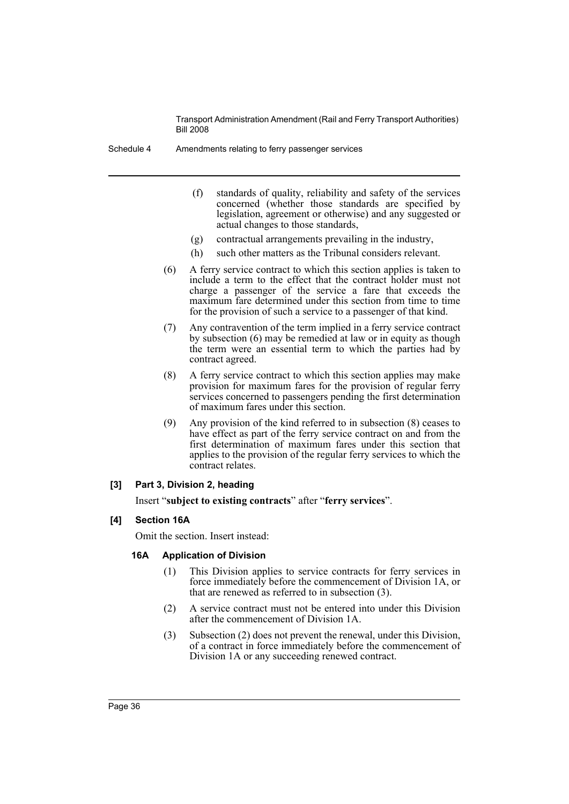Schedule 4 Amendments relating to ferry passenger services

- (f) standards of quality, reliability and safety of the services concerned (whether those standards are specified by legislation, agreement or otherwise) and any suggested or actual changes to those standards,
- (g) contractual arrangements prevailing in the industry,
- (h) such other matters as the Tribunal considers relevant.
- (6) A ferry service contract to which this section applies is taken to include a term to the effect that the contract holder must not charge a passenger of the service a fare that exceeds the maximum fare determined under this section from time to time for the provision of such a service to a passenger of that kind.
- (7) Any contravention of the term implied in a ferry service contract by subsection (6) may be remedied at law or in equity as though the term were an essential term to which the parties had by contract agreed.
- (8) A ferry service contract to which this section applies may make provision for maximum fares for the provision of regular ferry services concerned to passengers pending the first determination of maximum fares under this section.
- (9) Any provision of the kind referred to in subsection (8) ceases to have effect as part of the ferry service contract on and from the first determination of maximum fares under this section that applies to the provision of the regular ferry services to which the contract relates.

### **[3] Part 3, Division 2, heading**

Insert "**subject to existing contracts**" after "**ferry services**".

### **[4] Section 16A**

Omit the section. Insert instead:

### **16A Application of Division**

- (1) This Division applies to service contracts for ferry services in force immediately before the commencement of Division 1A, or that are renewed as referred to in subsection (3).
- (2) A service contract must not be entered into under this Division after the commencement of Division 1A.
- (3) Subsection (2) does not prevent the renewal, under this Division, of a contract in force immediately before the commencement of Division 1A or any succeeding renewed contract.